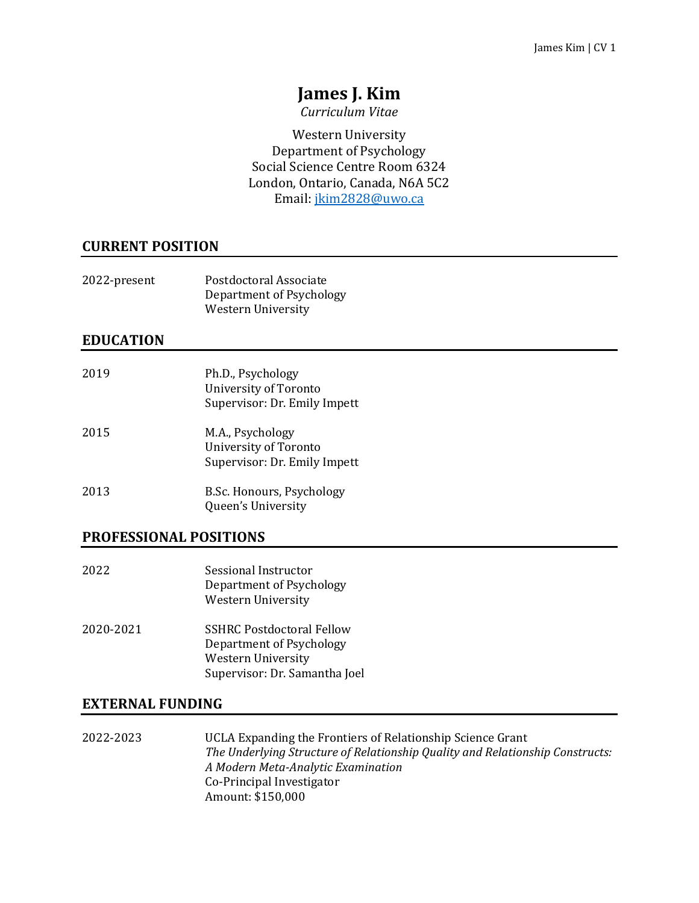# **James J. Kim**

*Curriculum Vitae*

Western University Department of Psychology Social Science Centre Room 6324 London, Ontario, Canada, N6A 5C2 Email[: jkim2828@uwo.ca](mailto:jkim2828@uwo.ca)

## **CURRENT POSITION**

| 2022-present | Postdoctoral Associate   |
|--------------|--------------------------|
|              | Department of Psychology |
|              | Western University       |

## **EDUCATION**

| 2019 | Ph.D., Psychology<br>University of Toronto<br>Supervisor: Dr. Emily Impett |
|------|----------------------------------------------------------------------------|
| 2015 | M.A., Psychology<br>University of Toronto<br>Supervisor: Dr. Emily Impett  |
| 2013 | B.Sc. Honours, Psychology<br>Queen's University                            |

## **PROFESSIONAL POSITIONS**

- 2022 Sessional Instructor Department of Psychology Western University
- 2020-2021 SSHRC Postdoctoral Fellow Department of Psychology Western University Supervisor: Dr. Samantha Joel

## **EXTERNAL FUNDING**

2022-2023 UCLA Expanding the Frontiers of Relationship Science Grant *The Underlying Structure of Relationship Quality and Relationship Constructs: A Modern Meta-Analytic Examination* Co-Principal Investigator Amount: \$150,000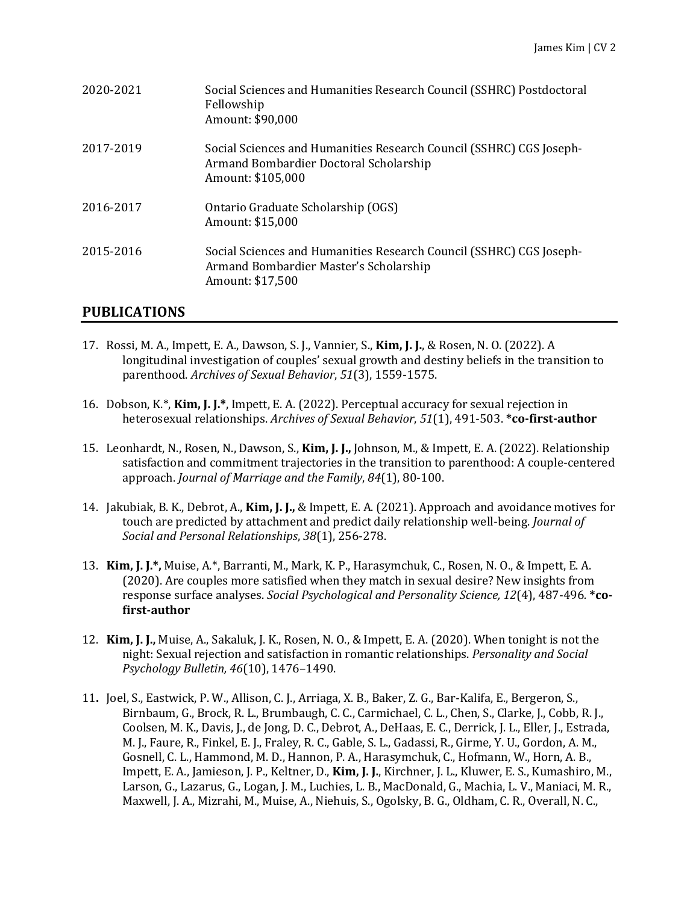| 2020-2021 | Social Sciences and Humanities Research Council (SSHRC) Postdoctoral<br>Fellowship<br>Amount: \$90,000                             |
|-----------|------------------------------------------------------------------------------------------------------------------------------------|
| 2017-2019 | Social Sciences and Humanities Research Council (SSHRC) CGS Joseph-<br>Armand Bombardier Doctoral Scholarship<br>Amount: \$105,000 |
| 2016-2017 | Ontario Graduate Scholarship (OGS)<br>Amount: \$15,000                                                                             |
| 2015-2016 | Social Sciences and Humanities Research Council (SSHRC) CGS Joseph-<br>Armand Bombardier Master's Scholarship<br>Amount: \$17,500  |

## **PUBLICATIONS**

- 17. Rossi, M. A., Impett, E. A., Dawson, S. J., Vannier, S., **Kim, J. J.**, & Rosen, N. O. (2022). A longitudinal investigation of couples' sexual growth and destiny beliefs in the transition to parenthood. *Archives of Sexual Behavior*, *51*(3), 1559-1575.
- 16. Dobson, K.\*, **Kim, J. J.\***, Impett, E. A. (2022). Perceptual accuracy for sexual rejection in heterosexual relationships. *Archives of Sexual Behavior*, *51*(1), 491-503. **\*co-first-author**
- 15. Leonhardt, N., Rosen, N., Dawson, S., **Kim, J. J.,** Johnson, M., & Impett, E. A. (2022). Relationship satisfaction and commitment trajectories in the transition to parenthood: A couple-centered approach. *Journal of Marriage and the Family*, *84*(1), 80-100.
- 14. Jakubiak, B. K., Debrot, A., **Kim, J. J.,** & Impett, E. A. (2021). Approach and avoidance motives for touch are predicted by attachment and predict daily relationship well-being. *Journal of Social and Personal Relationships*, *38*(1), 256-278.
- 13. **Kim, J. J.\*,** Muise, A.\*, Barranti, M., Mark, K. P., Harasymchuk, C., Rosen, N. O., & Impett, E. A. (2020). Are couples more satisfied when they match in sexual desire? New insights from response surface analyses. *Social Psychological and Personality Science, 12*(4), 487-496*.* **\*cofirst-author**
- 12. **Kim, J. J.,** Muise, A., Sakaluk, J. K., Rosen, N. O., & Impett, E. A. (2020). When tonight is not the night: Sexual rejection and satisfaction in romantic relationships. *Personality and Social Psychology Bulletin, 46*(10), 1476–1490.
- 11**.** Joel, S., Eastwick, P. W., Allison, C. J., Arriaga, X. B., Baker, Z. G., Bar-Kalifa, E., Bergeron, S., Birnbaum, G., Brock, R. L., Brumbaugh, C. C., Carmichael, C. L., Chen, S., Clarke, J., Cobb, R. J., Coolsen, M. K., Davis, J., de Jong, D. C., Debrot, A., DeHaas, E. C., Derrick, J. L., Eller, J., Estrada, M. J., Faure, R., Finkel, E. J., Fraley, R. C., Gable, S. L., Gadassi, R., Girme, Y. U., Gordon, A. M., Gosnell, C. L., Hammond, M. D., Hannon, P. A., Harasymchuk, C., Hofmann, W., Horn, A. B., Impett, E. A., Jamieson, J. P., Keltner, D., **Kim, J. J.**, Kirchner, J. L., Kluwer, E. S., Kumashiro, M., Larson, G., Lazarus, G., Logan, J. M., Luchies, L. B., MacDonald, G., Machia, L. V., Maniaci, M. R., Maxwell, J. A., Mizrahi, M., Muise, A., Niehuis, S., Ogolsky, B. G., Oldham, C. R., Overall, N. C.,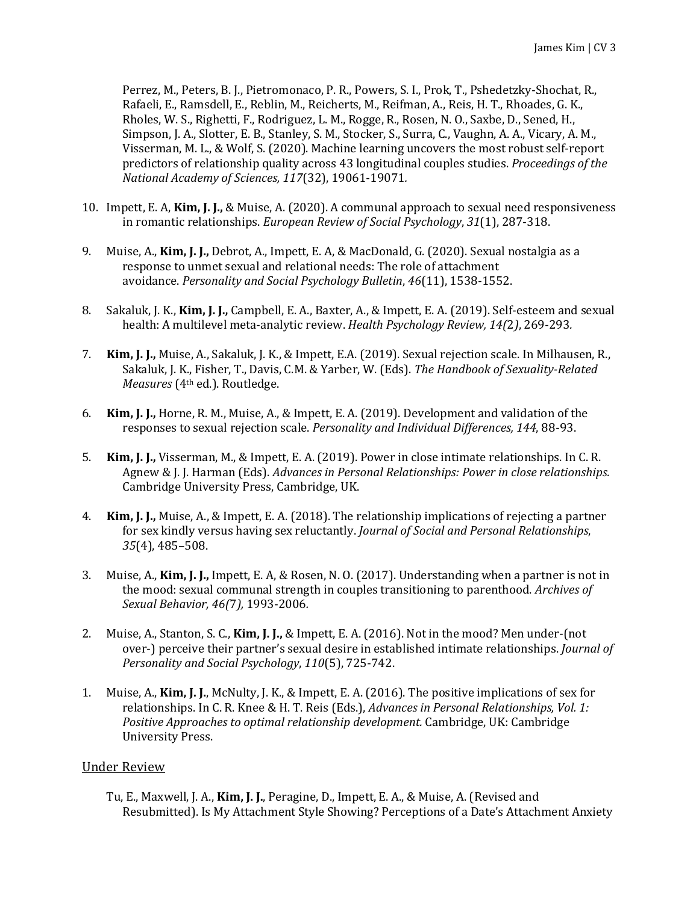Perrez, M., Peters, B. J., Pietromonaco, P. R., Powers, S. I., Prok, T., Pshedetzky-Shochat, R., Rafaeli, E., Ramsdell, E., Reblin, M., Reicherts, M., Reifman, A., Reis, H. T., Rhoades, G. K., Rholes, W. S., Righetti, F., Rodriguez, L. M., Rogge, R., Rosen, N. O., Saxbe, D., Sened, H., Simpson, J. A., Slotter, E. B., Stanley, S. M., Stocker, S., Surra, C., Vaughn, A. A., Vicary, A. M., Visserman, M. L., & Wolf, S. (2020). Machine learning uncovers the most robust self-report predictors of relationship quality across 43 longitudinal couples studies. *Proceedings of the National Academy of Sciences, 117*(32), 19061-19071*.*

- 10. Impett, E. A, **Kim, J. J.,** & Muise, A. (2020). A communal approach to sexual need responsiveness in romantic relationships. *European Review of Social Psychology*, *31*(1), 287-318.
- 9. Muise, A., **Kim, J. J.,** Debrot, A., Impett, E. A, & MacDonald, G. (2020). Sexual nostalgia as a response to unmet sexual and relational needs: The role of attachment avoidance. *Personality and Social Psychology Bulletin*, *46*(11), 1538-1552.
- 8. Sakaluk, J. K., **Kim, J. J.,** Campbell, E. A., Baxter, A., & Impett, E. A. (2019). Self-esteem and sexual health: A multilevel meta-analytic review. *Health Psychology Review, 14(*2*)*, 269-293*.*
- 7. **Kim, J. J.,** Muise, A., Sakaluk, J. K., & Impett, E.A. (2019). Sexual rejection scale. In Milhausen, R., Sakaluk, J. K., Fisher, T., Davis, C.M. & Yarber, W. (Eds). *The Handbook of Sexuality-Related Measures* (4th ed.). Routledge.
- 6. **Kim, J. J.,** Horne, R. M., Muise, A., & Impett, E. A. (2019). Development and validation of the responses to sexual rejection scale. *Personality and Individual Differences, 144*, 88-93.
- 5. **Kim, J. J.,** Visserman, M., & Impett, E. A. (2019). Power in close intimate relationships. In C. R. Agnew & J. J. Harman (Eds). *Advances in Personal Relationships: Power in close relationships.*  Cambridge University Press, Cambridge, UK.
- 4. **Kim, J. J.,** Muise, A., & Impett, E. A. (2018). The relationship implications of rejecting a partner for sex kindly versus having sex reluctantly. *Journal of Social and Personal Relationships*, *35*(4), 485–508.
- 3. Muise, A., **Kim, J. J.,** Impett, E. A, & Rosen, N. O. (2017). Understanding when a partner is not in the mood: sexual communal strength in couples transitioning to parenthood. *Archives of Sexual Behavior, 46(*7*),* 1993-2006*.*
- 2. Muise, A., Stanton, S. C., **Kim, J. J.,** & Impett, E. A. (2016). Not in the mood? Men under-(not over-) perceive their partner's sexual desire in established intimate relationships. *Journal of Personality and Social Psychology*, *110*(5), 725-742.
- 1. Muise, A., **Kim, J. J.**, McNulty, J. K., & Impett, E. A. (2016). The positive implications of sex for relationships. In C. R. Knee & H. T. Reis (Eds.), *Advances in Personal Relationships, Vol. 1: Positive Approaches to optimal relationship development.* Cambridge, UK: Cambridge University Press.

### Under Review

Tu, E., Maxwell, J. A., **Kim, J. J.**, Peragine, D., Impett, E. A., & Muise, A. (Revised and Resubmitted). Is My Attachment Style Showing? Perceptions of a Date's Attachment Anxiety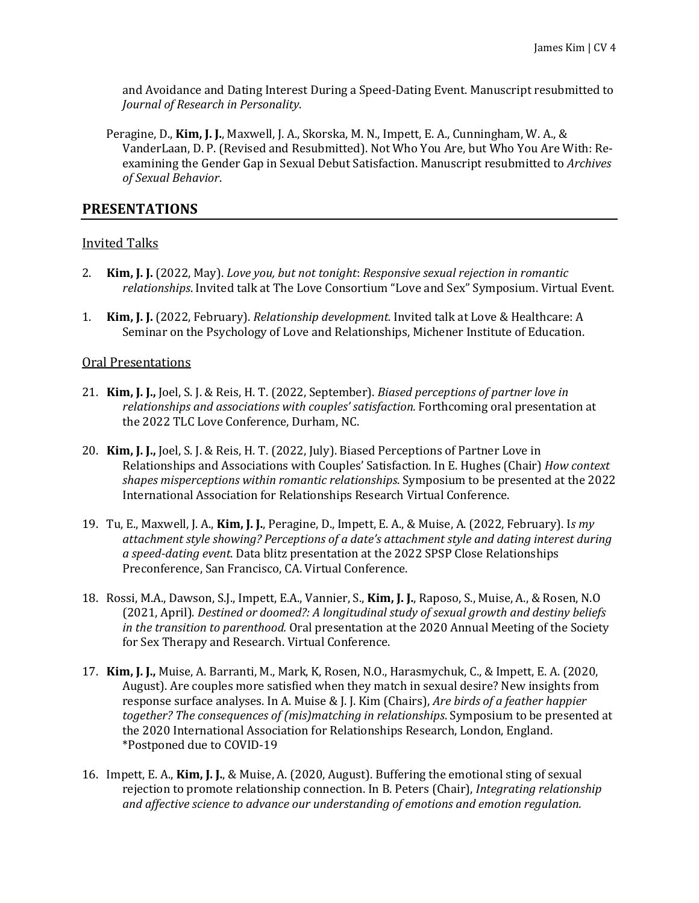and Avoidance and Dating Interest During a Speed-Dating Event. Manuscript resubmitted to *Journal of Research in Personality*.

Peragine, D., **Kim, J. J.**, Maxwell, J. A., Skorska, M. N., Impett, E. A., Cunningham, W. A., & VanderLaan, D. P. (Revised and Resubmitted). Not Who You Are, but Who You Are With: Reexamining the Gender Gap in Sexual Debut Satisfaction. Manuscript resubmitted to *Archives of Sexual Behavior*.

### **PRESENTATIONS**

#### Invited Talks

- 2. **Kim, J. J.** (2022, May). *Love you, but not tonight*: *Responsive sexual rejection in romantic relationships*. Invited talk at The Love Consortium "Love and Sex" Symposium. Virtual Event.
- 1. **Kim, J. J.** (2022, February). *Relationship development.* Invited talk at Love & Healthcare: A Seminar on the Psychology of Love and Relationships, Michener Institute of Education.

#### Oral Presentations

- 21. **Kim, J. J.,** Joel, S. J. & Reis, H. T. (2022, September). *Biased perceptions of partner love in relationships and associations with couples' satisfaction.* Forthcoming oral presentation at the 2022 TLC Love Conference, Durham, NC.
- 20. **Kim, J. J.,** Joel, S. J. & Reis, H. T. (2022, July). Biased Perceptions of Partner Love in Relationships and Associations with Couples' Satisfaction. In E. Hughes (Chair) *How context shapes misperceptions within romantic relationships*. Symposium to be presented at the 2022 International Association for Relationships Research Virtual Conference.
- 19. Tu, E., Maxwell, J. A., **Kim, J. J.**, Peragine, D., Impett, E. A., & Muise, A. (2022, February). I*s my attachment style showing? Perceptions of a date's attachment style and dating interest during a speed-dating event*. Data blitz presentation at the 2022 SPSP Close Relationships Preconference, San Francisco, CA. Virtual Conference.
- 18. Rossi, M.A., Dawson, S.J., Impett, E.A., Vannier, S., **Kim, J. J.**, Raposo, S., Muise, A., & Rosen, N.O (2021, April). *Destined or doomed?: A longitudinal study of sexual growth and destiny beliefs in the transition to parenthood.* Oral presentation at the 2020 Annual Meeting of the Society for Sex Therapy and Research. Virtual Conference.
- 17. **Kim, J. J.,** Muise, A. Barranti, M., Mark, K, Rosen, N.O., Harasmychuk, C., & Impett, E. A. (2020, August). Are couples more satisfied when they match in sexual desire? New insights from response surface analyses. In A. Muise & J. J. Kim (Chairs), *Are birds of a feather happier together? The consequences of (mis)matching in relationships*. Symposium to be presented at the 2020 International Association for Relationships Research, London, England. \*Postponed due to COVID-19
- 16. Impett, E. A., **Kim, J. J.**, & Muise, A. (2020, August). Buffering the emotional sting of sexual rejection to promote relationship connection. In B. Peters (Chair), *Integrating relationship and affective science to advance our understanding of emotions and emotion regulation.*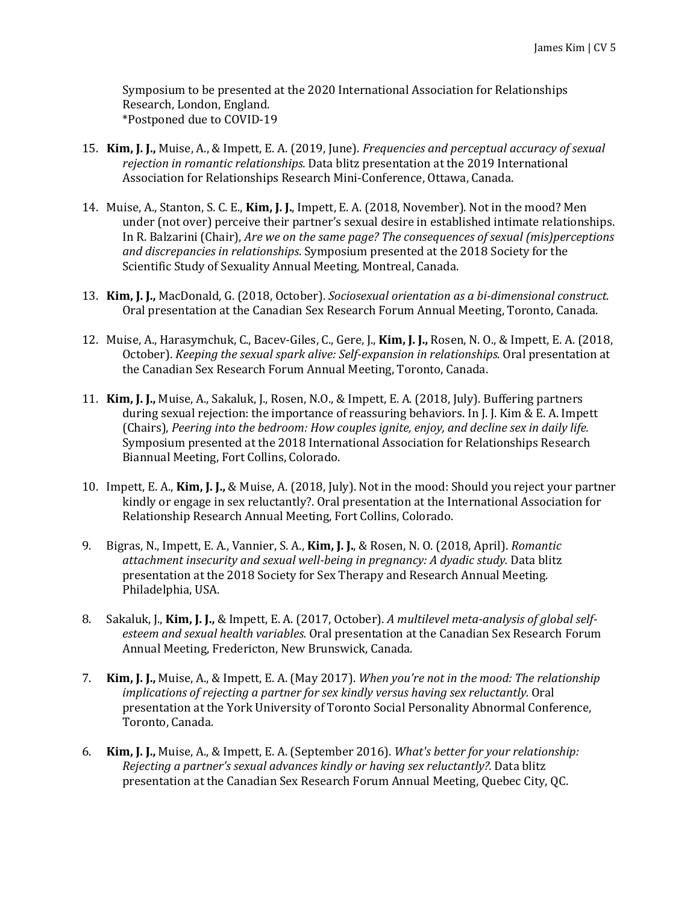Symposium to be presented at the 2020 International Association for Relationships Research, London, England. \*Postponed due to COVID-19

- 15. **Kim, J. J.,** Muise, A., & Impett, E. A. (2019, June). *Frequencies and perceptual accuracy of sexual rejection in romantic relationships.* Data blitz presentation at the 2019 International Association for Relationships Research Mini-Conference, Ottawa, Canada.
- 14. Muise, A., Stanton, S. C. E., **Kim, J. J.**, Impett, E. A. (2018, November). Not in the mood? Men under (not over) perceive their partner's sexual desire in established intimate relationships. In R. Balzarini (Chair), *Are we on the same page? The consequences of sexual (mis)perceptions and discrepancies in relationships*. Symposium presented at the 2018 Society for the Scientific Study of Sexuality Annual Meeting, Montreal, Canada.
- 13. **Kim, J. J.,** MacDonald, G. (2018, October). *Sociosexual orientation as a bi-dimensional construct.* Oral presentation at the Canadian Sex Research Forum Annual Meeting, Toronto, Canada.
- 12. Muise, A., Harasymchuk, C., Bacev-Giles, C., Gere, J., **Kim, J. J.,** Rosen, N. O., & Impett, E. A. (2018, October). *Keeping the sexual spark alive: Self-expansion in relationships.* Oral presentation at the Canadian Sex Research Forum Annual Meeting, Toronto, Canada.
- 11. **Kim, J. J.,** Muise, A., Sakaluk, J., Rosen, N.O., & Impett, E. A. (2018, July). Buffering partners during sexual rejection: the importance of reassuring behaviors. In J. J. Kim & E. A. Impett (Chairs), *Peering into the bedroom: How couples ignite, enjoy, and decline sex in daily life.* Symposium presented at the 2018 International Association for Relationships Research Biannual Meeting, Fort Collins, Colorado.
- 10. Impett, E. A., **Kim, J. J.,** & Muise, A. (2018, July). Not in the mood: Should you reject your partner kindly or engage in sex reluctantly?. Oral presentation at the International Association for Relationship Research Annual Meeting, Fort Collins, Colorado.
- 9. Bigras, N., Impett, E. A., Vannier, S. A., **Kim, J. J.**, & Rosen, N. O. (2018, April). *Romantic attachment insecurity and sexual well-being in pregnancy: A dyadic study.* Data blitz presentation at the 2018 Society for Sex Therapy and Research Annual Meeting. Philadelphia, USA.
- 8. Sakaluk, J., **Kim, J. J.,** & Impett, E. A. (2017, October). *A multilevel meta-analysis of global selfesteem and sexual health variables.* Oral presentation at the Canadian Sex Research Forum Annual Meeting, Fredericton, New Brunswick, Canada.
- 7. **Kim, J. J.,** Muise, A., & Impett, E. A. (May 2017). *When you're not in the mood: The relationship implications of rejecting a partner for sex kindly versus having sex reluctantly.* Oral presentation at the York University of Toronto Social Personality Abnormal Conference, Toronto, Canada.
- 6. **Kim, J. J.,** Muise, A., & Impett, E. A. (September 2016). *What's better for your relationship: Rejecting a partner's sexual advances kindly or having sex reluctantly?.* Data blitz presentation at the Canadian Sex Research Forum Annual Meeting, Quebec City, QC.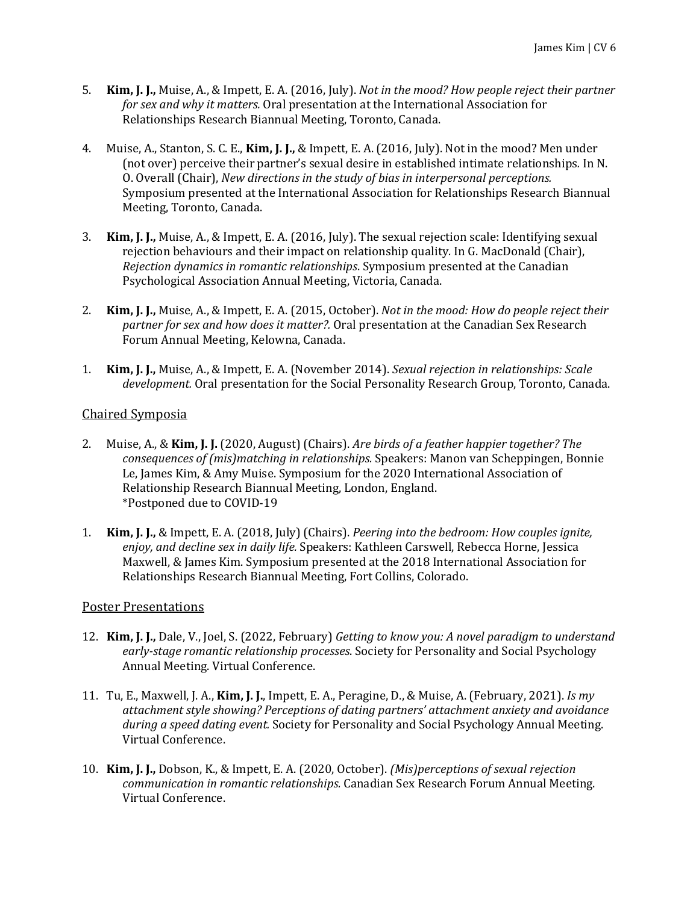- 5. **Kim, J. J.,** Muise, A., & Impett, E. A. (2016, July). *Not in the mood? How people reject their partner for sex and why it matters.* Oral presentation at the International Association for Relationships Research Biannual Meeting, Toronto, Canada.
- 4. Muise, A., Stanton, S. C. E., **Kim, J. J.,** & Impett, E. A. (2016, July). Not in the mood? Men under (not over) perceive their partner's sexual desire in established intimate relationships*.* In N. O. Overall (Chair), *New directions in the study of bias in interpersonal perceptions.* Symposium presented at the International Association for Relationships Research Biannual Meeting, Toronto, Canada.
- 3. **Kim, J. J.,** Muise, A., & Impett, E. A. (2016, July). The sexual rejection scale: Identifying sexual rejection behaviours and their impact on relationship quality*.* In G. MacDonald (Chair), *Rejection dynamics in romantic relationships*. Symposium presented at the Canadian Psychological Association Annual Meeting, Victoria, Canada.
- 2. **Kim, J. J.,** Muise, A., & Impett, E. A. (2015, October). *Not in the mood: How do people reject their partner for sex and how does it matter?.* Oral presentation at the Canadian Sex Research Forum Annual Meeting, Kelowna, Canada.
- 1. **Kim, J. J.,** Muise, A., & Impett, E. A. (November 2014). *Sexual rejection in relationships: Scale development.* Oral presentation for the Social Personality Research Group, Toronto, Canada.

### Chaired Symposia

- 2. Muise, A., & **Kim, J. J.** (2020, August) (Chairs). *Are birds of a feather happier together? The consequences of (mis)matching in relationships.* Speakers: Manon van Scheppingen, Bonnie Le, James Kim, & Amy Muise. Symposium for the 2020 International Association of Relationship Research Biannual Meeting, London, England. \*Postponed due to COVID-19
- 1. **Kim, J. J.,** & Impett, E. A. (2018, July) (Chairs). *Peering into the bedroom: How couples ignite, enjoy, and decline sex in daily life.* Speakers: Kathleen Carswell, Rebecca Horne, Jessica Maxwell, & James Kim. Symposium presented at the 2018 International Association for Relationships Research Biannual Meeting, Fort Collins, Colorado.

### Poster Presentations

- 12. **Kim, J. J.,** Dale, V., Joel, S. (2022, February) *Getting to know you: A novel paradigm to understand early-stage romantic relationship processes*. Society for Personality and Social Psychology Annual Meeting. Virtual Conference.
- 11. Tu, E., Maxwell, J. A., **Kim, J. J.**, Impett, E. A., Peragine, D., & Muise, A. (February, 2021). *Is my attachment style showing? Perceptions of dating partners' attachment anxiety and avoidance during a speed dating event.* Society for Personality and Social Psychology Annual Meeting. Virtual Conference.
- 10. **Kim, J. J.,** Dobson, K., & Impett, E. A. (2020, October). *(Mis)perceptions of sexual rejection communication in romantic relationships.* Canadian Sex Research Forum Annual Meeting. Virtual Conference.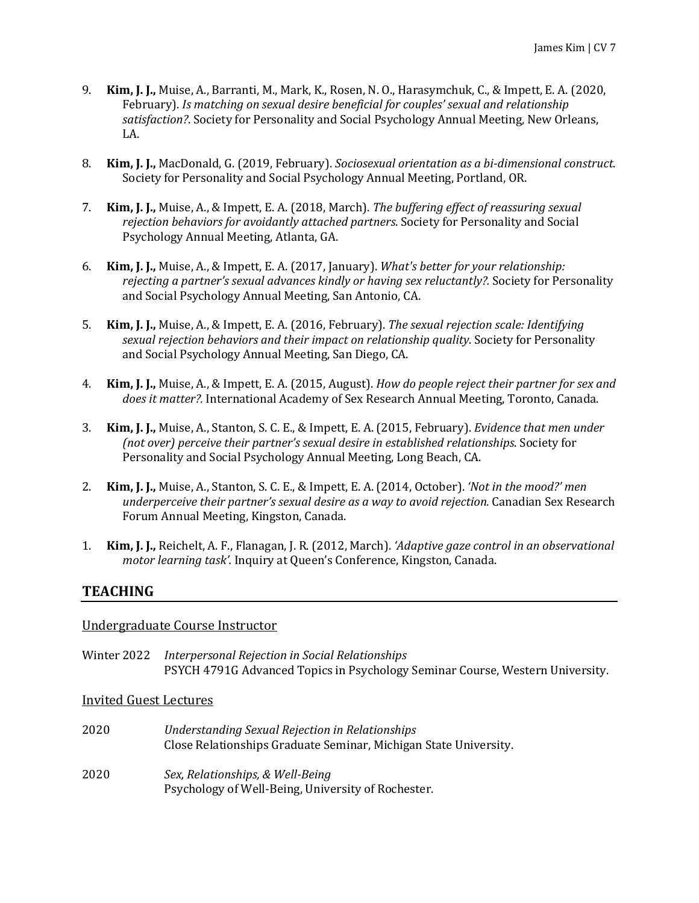- 9. **Kim, J. J.,** Muise, A., Barranti, M., Mark, K., Rosen, N. O., Harasymchuk, C., & Impett, E. A. (2020, February). *Is matching on sexual desire beneficial for couples' sexual and relationship satisfaction?*. Society for Personality and Social Psychology Annual Meeting, New Orleans, LA.
- 8. **Kim, J. J.,** MacDonald, G. (2019, February). *Sociosexual orientation as a bi-dimensional construct*. Society for Personality and Social Psychology Annual Meeting, Portland, OR.
- 7. **Kim, J. J.,** Muise, A., & Impett, E. A. (2018, March). *The buffering effect of reassuring sexual rejection behaviors for avoidantly attached partners*. Society for Personality and Social Psychology Annual Meeting, Atlanta, GA.
- 6. **Kim, J. J.,** Muise, A., & Impett, E. A. (2017, January). *What's better for your relationship: rejecting a partner's sexual advances kindly or having sex reluctantly?.* Society for Personality and Social Psychology Annual Meeting, San Antonio, CA.
- 5. **Kim, J. J.,** Muise, A., & Impett, E. A. (2016, February). *The sexual rejection scale: Identifying sexual rejection behaviors and their impact on relationship quality*. Society for Personality and Social Psychology Annual Meeting, San Diego, CA.
- 4. **Kim, J. J.,** Muise, A., & Impett, E. A. (2015, August). *How do people reject their partner for sex and does it matter?.* International Academy of Sex Research Annual Meeting, Toronto, Canada.
- 3. **Kim, J. J.,** Muise, A., Stanton, S. C. E., & Impett, E. A. (2015, February). *Evidence that men under (not over) perceive their partner's sexual desire in established relationships*. Society for Personality and Social Psychology Annual Meeting, Long Beach, CA.
- 2. **Kim, J. J.,** Muise, A., Stanton, S. C. E., & Impett, E. A. (2014, October). *'Not in the mood?' men underperceive their partner's sexual desire as a way to avoid rejection.* Canadian Sex Research Forum Annual Meeting, Kingston, Canada.
- 1. **Kim, J. J.,** Reichelt, A. F., Flanagan, J. R. (2012, March). *'Adaptive gaze control in an observational motor learning task'.* Inquiry at Queen's Conference, Kingston, Canada.

## **TEACHING**

### Undergraduate Course Instructor

Winter 2022 *Interpersonal Rejection in Social Relationships* PSYCH 4791G Advanced Topics in Psychology Seminar Course, Western University.

Invited Guest Lectures

- 2020 *Understanding Sexual Rejection in Relationships* Close Relationships Graduate Seminar, Michigan State University.
- 2020 *Sex, Relationships, & Well-Being* Psychology of Well-Being, University of Rochester.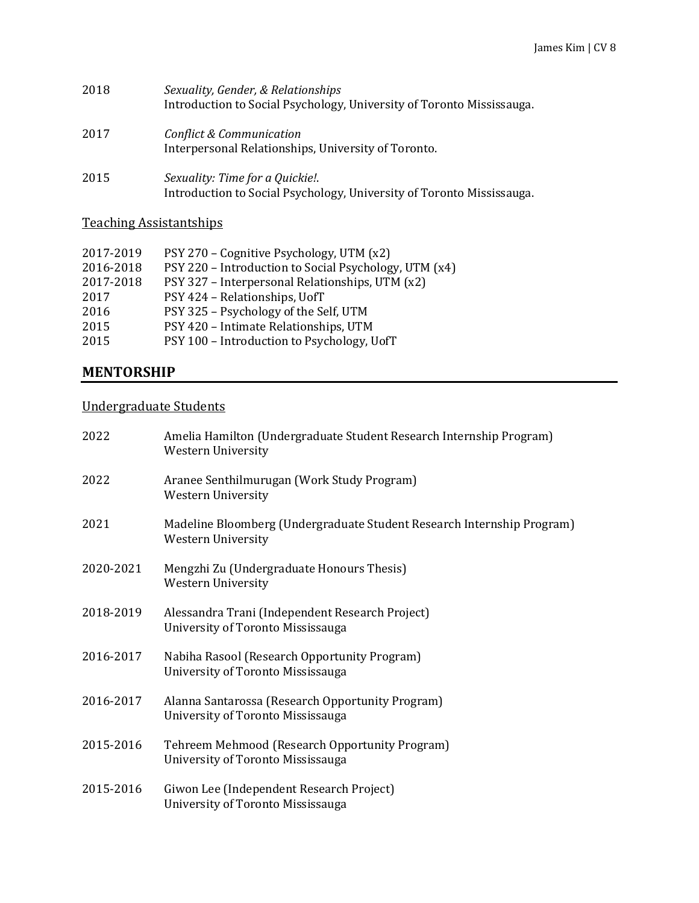| 2018 | Sexuality, Gender, & Relationships<br>Introduction to Social Psychology, University of Toronto Mississauga. |
|------|-------------------------------------------------------------------------------------------------------------|
| 2017 | Conflict & Communication<br>Interpersonal Relationships, University of Toronto.                             |
| 2015 | Sexuality: Time for a Quickie!.<br>.                                                                        |

Introduction to Social Psychology, University of Toronto Mississauga.

# Teaching Assistantships

| 2017-2019 | PSY 270 – Cognitive Psychology, UTM (x2)              |
|-----------|-------------------------------------------------------|
| 2016-2018 | PSY 220 - Introduction to Social Psychology, UTM (x4) |
| 2017-2018 | PSY 327 - Interpersonal Relationships, UTM (x2)       |
| 2017      | PSY 424 - Relationships, UofT                         |
| 2016      | PSY 325 - Psychology of the Self, UTM                 |
| 2015      | PSY 420 - Intimate Relationships, UTM                 |
| 2015      | PSY 100 - Introduction to Psychology, UofT            |
|           |                                                       |

# **MENTORSHIP**

## Undergraduate Students

| 2022      | Amelia Hamilton (Undergraduate Student Research Internship Program)<br><b>Western University</b>    |
|-----------|-----------------------------------------------------------------------------------------------------|
| 2022      | Aranee Senthilmurugan (Work Study Program)<br><b>Western University</b>                             |
| 2021      | Madeline Bloomberg (Undergraduate Student Research Internship Program)<br><b>Western University</b> |
| 2020-2021 | Mengzhi Zu (Undergraduate Honours Thesis)<br><b>Western University</b>                              |
| 2018-2019 | Alessandra Trani (Independent Research Project)<br>University of Toronto Mississauga                |
| 2016-2017 | Nabiha Rasool (Research Opportunity Program)<br>University of Toronto Mississauga                   |
| 2016-2017 | Alanna Santarossa (Research Opportunity Program)<br>University of Toronto Mississauga               |
| 2015-2016 | Tehreem Mehmood (Research Opportunity Program)<br>University of Toronto Mississauga                 |
| 2015-2016 | Giwon Lee (Independent Research Project)<br>University of Toronto Mississauga                       |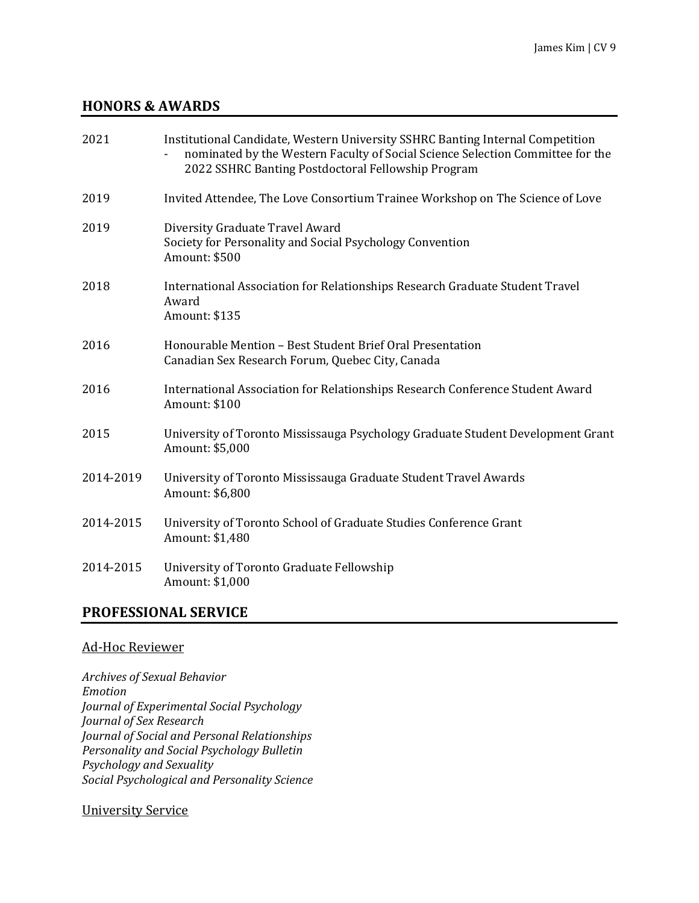## **HONORS & AWARDS**

| 2021      | Institutional Candidate, Western University SSHRC Banting Internal Competition<br>nominated by the Western Faculty of Social Science Selection Committee for the<br>2022 SSHRC Banting Postdoctoral Fellowship Program |
|-----------|------------------------------------------------------------------------------------------------------------------------------------------------------------------------------------------------------------------------|
| 2019      | Invited Attendee, The Love Consortium Trainee Workshop on The Science of Love                                                                                                                                          |
| 2019      | Diversity Graduate Travel Award<br>Society for Personality and Social Psychology Convention<br>Amount: \$500                                                                                                           |
| 2018      | International Association for Relationships Research Graduate Student Travel<br>Award<br>Amount: \$135                                                                                                                 |
| 2016      | Honourable Mention - Best Student Brief Oral Presentation<br>Canadian Sex Research Forum, Quebec City, Canada                                                                                                          |
| 2016      | International Association for Relationships Research Conference Student Award<br>Amount: \$100                                                                                                                         |
| 2015      | University of Toronto Mississauga Psychology Graduate Student Development Grant<br>Amount: \$5,000                                                                                                                     |
| 2014-2019 | University of Toronto Mississauga Graduate Student Travel Awards<br>Amount: \$6,800                                                                                                                                    |
| 2014-2015 | University of Toronto School of Graduate Studies Conference Grant<br>Amount: \$1,480                                                                                                                                   |
| 2014-2015 | University of Toronto Graduate Fellowship<br>Amount: \$1,000                                                                                                                                                           |

## **PROFESSIONAL SERVICE**

### Ad-Hoc Reviewer

*Archives of Sexual Behavior Emotion Journal of Experimental Social Psychology Journal of Sex Research Journal of Social and Personal Relationships Personality and Social Psychology Bulletin Psychology and Sexuality Social Psychological and Personality Science*

## University Service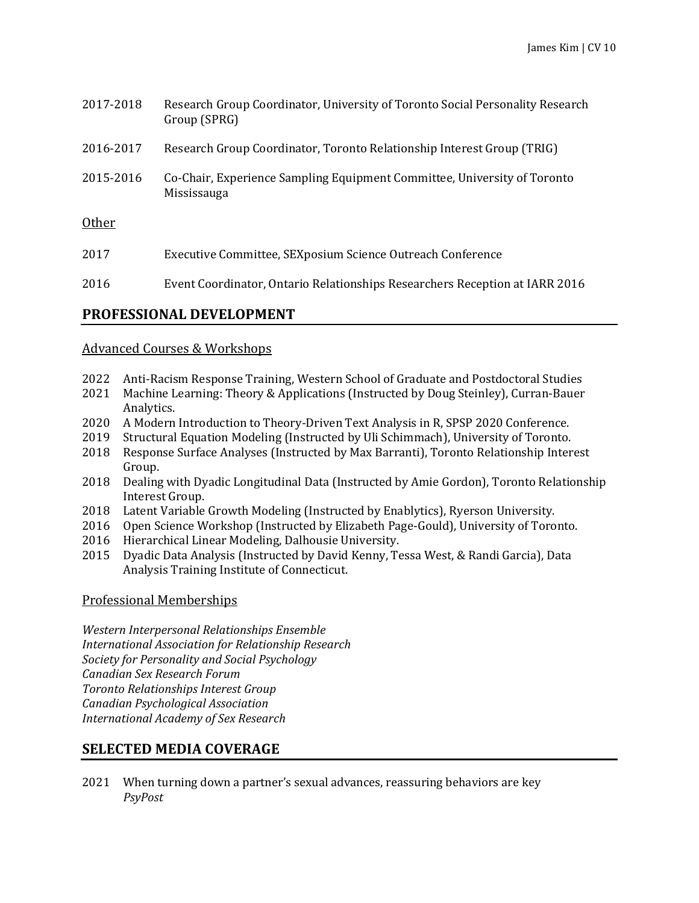| 2017-2018 | Research Group Coordinator, University of Toronto Social Personality Research<br>Group (SPRG) |
|-----------|-----------------------------------------------------------------------------------------------|
| 2016-2017 | Research Group Coordinator, Toronto Relationship Interest Group (TRIG)                        |
| 2015-2016 | Co-Chair, Experience Sampling Equipment Committee, University of Toronto<br>Mississauga       |
| Other     |                                                                                               |
| 2017      | Executive Committee, SEXposium Science Outreach Conference                                    |
| 2016      | Event Coordinator, Ontario Relationships Researchers Reception at IARR 2016                   |

# **PROFESSIONAL DEVELOPMENT**

### Advanced Courses & Workshops

- 2022 Anti-Racism Response Training, Western School of Graduate and Postdoctoral Studies
- 2021 Machine Learning: Theory & Applications (Instructed by Doug Steinley), Curran-Bauer Analytics.
- 2020 A Modern Introduction to Theory-Driven Text Analysis in R, SPSP 2020 Conference.
- 2019 Structural Equation Modeling (Instructed by Uli Schimmach), University of Toronto.
- 2018 Response Surface Analyses (Instructed by Max Barranti), Toronto Relationship Interest Group.
- 2018 Dealing with Dyadic Longitudinal Data (Instructed by Amie Gordon), Toronto Relationship Interest Group.
- 2018 Latent Variable Growth Modeling (Instructed by Enablytics), Ryerson University.
- 2016 Open Science Workshop (Instructed by Elizabeth Page-Gould), University of Toronto.
- 2016 Hierarchical Linear Modeling, Dalhousie University.
- 2015 Dyadic Data Analysis (Instructed by David Kenny, Tessa West, & Randi Garcia), Data Analysis Training Institute of Connecticut.

### Professional Memberships

*Western Interpersonal Relationships Ensemble International Association for Relationship Research Society for Personality and Social Psychology Canadian Sex Research Forum Toronto Relationships Interest Group Canadian Psychological Association International Academy of Sex Research*

## **SELECTED MEDIA COVERAGE**

2021 When turning down a partner's sexual advances, reassuring behaviors are key *PsyPost*